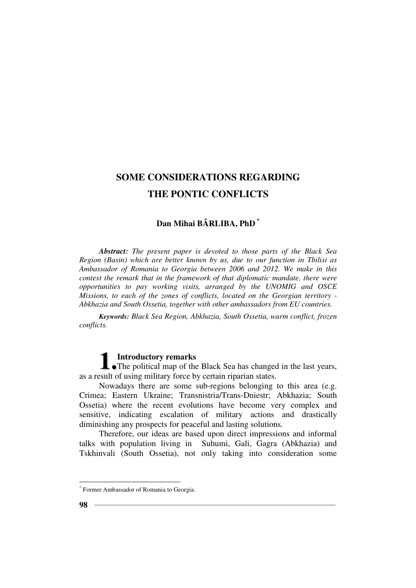# **Dan Mihai BÂRLIBA, PhD** *\**

*Abstract: The present paper is devoted to those parts of the Black Sea Region (Basin) which are better known by us, due to our function in Tbilisi as Ambassador of Romania to Georgia between 2006 and 2012. We make in this context the remark that in the framework of that diplomatic mandate, there were opportunities to pay working visits, arranged by the UNOMIG and OSCE Missions, to each of the zones of conflicts, located on the Georgian territory - Abkhazia and South Ossetia, together with other ambassadors from EU countries.* 

*Keywords: Black Sea Region, Abkhazia, South Ossetia, warm conflict, frozen conflicts.*

# **Introductory remarks**

**1** Introductory remarks<br>
The political map of the Black Sea has changed in the last years, as a result of using military force by certain riparian states.

Nowadays there are some sub-regions belonging to this area (e.g. Crimea; Eastern Ukraine; Transnistria/Trans-Dniestr; Abkhazia; South Ossetia) where the recent evolutions have become very complex and sensitive, indicating escalation of military actions and drastically diminishing any prospects for peaceful and lasting solutions.

Therefore, our ideas are based upon direct impressions and informal talks with population living in Suhumi, Gali, Gagra (Abkhazia) and Tskhinvali (South Ossetia), not only taking into consideration some

 $\overline{a}$ 

<sup>\*</sup> Former Ambassador of Romania to Georgia.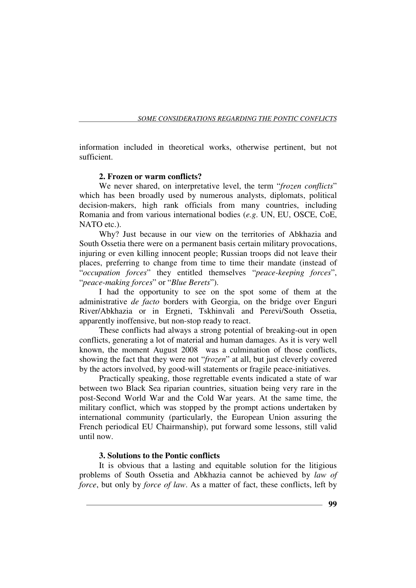information included in theoretical works, otherwise pertinent, but not sufficient.

### **2. Frozen or warm conflicts?**

We never shared, on interpretative level, the term "*frozen conflicts*" which has been broadly used by numerous analysts, diplomats, political decision-makers, high rank officials from many countries, including Romania and from various international bodies (*e.g*. UN, EU, OSCE, CoE, NATO etc.).

Why? Just because in our view on the territories of Abkhazia and South Ossetia there were on a permanent basis certain military provocations, injuring or even killing innocent people; Russian troops did not leave their places, preferring to change from time to time their mandate (instead of "*occupation forces*" they entitled themselves "*peace-keeping forces*", "*peace-making forces*" or "*Blue Berets*").

I had the opportunity to see on the spot some of them at the administrative *de facto* borders with Georgia, on the bridge over Enguri River/Abkhazia or in Ergneti, Tskhinvali and Perevi/South Ossetia, apparently inoffensive, but non-stop ready to react.

These conflicts had always a strong potential of breaking-out in open conflicts, generating a lot of material and human damages. As it is very well known, the moment August 2008 was a culmination of those conflicts, showing the fact that they were not "*frozen*" at all, but just cleverly covered by the actors involved, by good-will statements or fragile peace-initiatives.

Practically speaking, those regrettable events indicated a state of war between two Black Sea riparian countries, situation being very rare in the post-Second World War and the Cold War years. At the same time, the military conflict, which was stopped by the prompt actions undertaken by international community (particularly, the European Union assuring the French periodical EU Chairmanship), put forward some lessons, still valid until now.

### **3. Solutions to the Pontic conflicts**

It is obvious that a lasting and equitable solution for the litigious problems of South Ossetia and Abkhazia cannot be achieved by *law of force*, but only by *force of law*. As a matter of fact, these conflicts, left by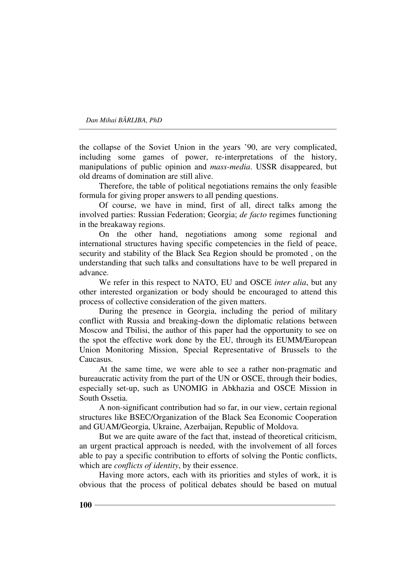*Dan Mihai BÂRLIBA, PhD* 

the collapse of the Soviet Union in the years '90, are very complicated, including some games of power, re-interpretations of the history, manipulations of public opinion and *mass-media*. USSR disappeared, but old dreams of domination are still alive.

Therefore, the table of political negotiations remains the only feasible formula for giving proper answers to all pending questions.

Of course, we have in mind, first of all, direct talks among the involved parties: Russian Federation; Georgia; *de facto* regimes functioning in the breakaway regions.

On the other hand, negotiations among some regional and international structures having specific competencies in the field of peace, security and stability of the Black Sea Region should be promoted , on the understanding that such talks and consultations have to be well prepared in advance.

We refer in this respect to NATO, EU and OSCE *inter alia*, but any other interested organization or body should be encouraged to attend this process of collective consideration of the given matters.

During the presence in Georgia, including the period of military conflict with Russia and breaking-down the diplomatic relations between Moscow and Tbilisi, the author of this paper had the opportunity to see on the spot the effective work done by the EU, through its EUMM/European Union Monitoring Mission, Special Representative of Brussels to the Caucasus.

At the same time, we were able to see a rather non-pragmatic and bureaucratic activity from the part of the UN or OSCE, through their bodies, especially set-up, such as UNOMIG in Abkhazia and OSCE Mission in South Ossetia.

A non-significant contribution had so far, in our view, certain regional structures like BSEC/Organization of the Black Sea Economic Cooperation and GUAM/Georgia, Ukraine, Azerbaijan, Republic of Moldova.

But we are quite aware of the fact that, instead of theoretical criticism, an urgent practical approach is needed, with the involvement of all forces able to pay a specific contribution to efforts of solving the Pontic conflicts, which are *conflicts of identity*, by their essence.

Having more actors, each with its priorities and styles of work, it is obvious that the process of political debates should be based on mutual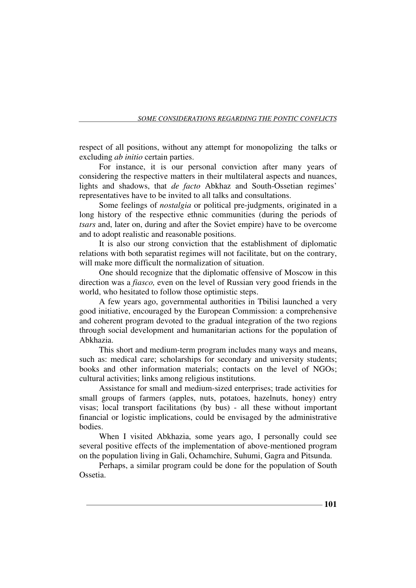respect of all positions, without any attempt for monopolizing the talks or excluding *ab initio* certain parties.

For instance, it is our personal conviction after many years of considering the respective matters in their multilateral aspects and nuances, lights and shadows, that *de facto* Abkhaz and South-Ossetian regimes' representatives have to be invited to all talks and consultations.

Some feelings of *nostalgia* or political pre-judgments, originated in a long history of the respective ethnic communities (during the periods of *tsars* and, later on, during and after the Soviet empire) have to be overcome and to adopt realistic and reasonable positions.

It is also our strong conviction that the establishment of diplomatic relations with both separatist regimes will not facilitate, but on the contrary, will make more difficult the normalization of situation.

One should recognize that the diplomatic offensive of Moscow in this direction was a *fiasco,* even on the level of Russian very good friends in the world, who hesitated to follow those optimistic steps.

A few years ago, governmental authorities in Tbilisi launched a very good initiative, encouraged by the European Commission: a comprehensive and coherent program devoted to the gradual integration of the two regions through social development and humanitarian actions for the population of Abkhazia.

This short and medium-term program includes many ways and means, such as: medical care; scholarships for secondary and university students; books and other information materials; contacts on the level of NGOs; cultural activities; links among religious institutions.

Assistance for small and medium-sized enterprises; trade activities for small groups of farmers (apples, nuts, potatoes, hazelnuts, honey) entry visas; local transport facilitations (by bus) - all these without important financial or logistic implications, could be envisaged by the administrative bodies.

When I visited Abkhazia, some years ago, I personally could see several positive effects of the implementation of above-mentioned program on the population living in Gali, Ochamchire, Suhumi, Gagra and Pitsunda.

Perhaps, a similar program could be done for the population of South Ossetia.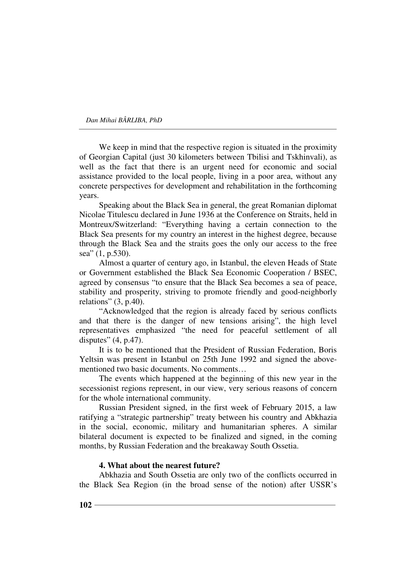*Dan Mihai BÂRLIBA, PhD* 

We keep in mind that the respective region is situated in the proximity of Georgian Capital (just 30 kilometers between Tbilisi and Tskhinvali), as well as the fact that there is an urgent need for economic and social assistance provided to the local people, living in a poor area, without any concrete perspectives for development and rehabilitation in the forthcoming years.

Speaking about the Black Sea in general, the great Romanian diplomat Nicolae Titulescu declared in June 1936 at the Conference on Straits, held in Montreux/Switzerland: "Everything having a certain connection to the Black Sea presents for my country an interest in the highest degree, because through the Black Sea and the straits goes the only our access to the free sea" (1, p.530).

Almost a quarter of century ago, in Istanbul, the eleven Heads of State or Government established the Black Sea Economic Cooperation / BSEC, agreed by consensus "to ensure that the Black Sea becomes a sea of peace, stability and prosperity, striving to promote friendly and good-neighborly relations" (3, p.40).

"Acknowledged that the region is already faced by serious conflicts and that there is the danger of new tensions arising", the high level representatives emphasized "the need for peaceful settlement of all disputes" (4, p.47).

It is to be mentioned that the President of Russian Federation, Boris Yeltsin was present in Istanbul on 25th June 1992 and signed the abovementioned two basic documents. No comments…

The events which happened at the beginning of this new year in the secessionist regions represent, in our view, very serious reasons of concern for the whole international community.

Russian President signed, in the first week of February 2015, a law ratifying a "strategic partnership" treaty between his country and Abkhazia in the social, economic, military and humanitarian spheres. A similar bilateral document is expected to be finalized and signed, in the coming months, by Russian Federation and the breakaway South Ossetia.

#### **4. What about the nearest future?**

Abkhazia and South Ossetia are only two of the conflicts occurred in the Black Sea Region (in the broad sense of the notion) after USSR's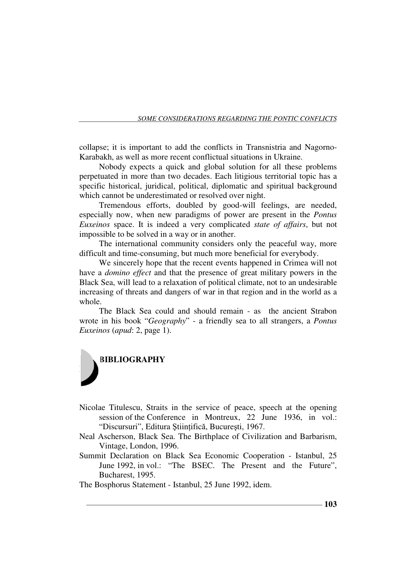collapse; it is important to add the conflicts in Transnistria and Nagorno-Karabakh, as well as more recent conflictual situations in Ukraine.

Nobody expects a quick and global solution for all these problems perpetuated in more than two decades. Each litigious territorial topic has a specific historical, juridical, political, diplomatic and spiritual background which cannot be underestimated or resolved over night.

Tremendous efforts, doubled by good-will feelings, are needed, especially now, when new paradigms of power are present in the *Pontus Euxeinos* space. It is indeed a very complicated *state of affairs*, but not impossible to be solved in a way or in another.

The international community considers only the peaceful way, more difficult and time-consuming, but much more beneficial for everybody.

We sincerely hope that the recent events happened in Crimea will not have a *domino effect* and that the presence of great military powers in the Black Sea, will lead to a relaxation of political climate, not to an undesirable increasing of threats and dangers of war in that region and in the world as a whole.

The Black Sea could and should remain - as the ancient Strabon wrote in his book "*Geography*" - a friendly sea to all strangers, a *Pontus Euxeinos* (*apud*: 2, page 1).



- Nicolae Titulescu, Straits in the service of peace, speech at the opening session of the Conference in Montreux, 22 June 1936, in vol.: "Discursuri", Editura Științifică, București, 1967.
- Neal Ascherson, Black Sea. The Birthplace of Civilization and Barbarism, Vintage, London, 1996.
- Summit Declaration on Black Sea Economic Cooperation Istanbul, 25 June 1992, in vol.: "The BSEC. The Present and the Future", Bucharest, 1995.

The Bosphorus Statement - Istanbul, 25 June 1992, idem.